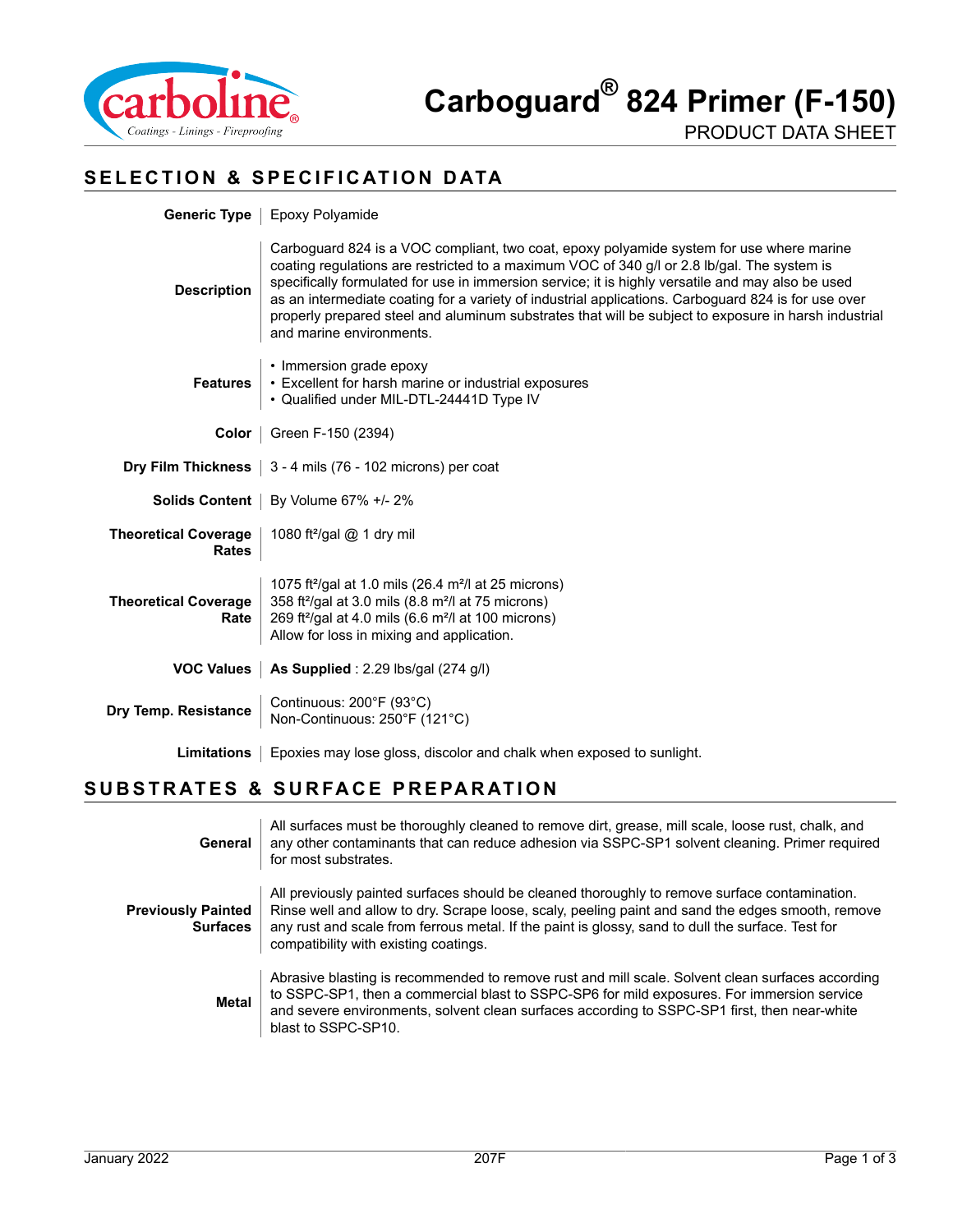

## **SELECTION & SPECIFICATION DATA**

|                                      | <b>Generic Type</b>   Epoxy Polyamide                                                                                                                                                                                                                                                                                                                                                                                                                                                                                                   |  |  |
|--------------------------------------|-----------------------------------------------------------------------------------------------------------------------------------------------------------------------------------------------------------------------------------------------------------------------------------------------------------------------------------------------------------------------------------------------------------------------------------------------------------------------------------------------------------------------------------------|--|--|
| <b>Description</b>                   | Carboguard 824 is a VOC compliant, two coat, epoxy polyamide system for use where marine<br>coating regulations are restricted to a maximum VOC of 340 g/l or 2.8 lb/gal. The system is<br>specifically formulated for use in immersion service; it is highly versatile and may also be used<br>as an intermediate coating for a variety of industrial applications. Carboguard 824 is for use over<br>properly prepared steel and aluminum substrates that will be subject to exposure in harsh industrial<br>and marine environments. |  |  |
| <b>Features</b>                      | • Immersion grade epoxy<br>• Excellent for harsh marine or industrial exposures<br>• Qualified under MIL-DTL-24441D Type IV                                                                                                                                                                                                                                                                                                                                                                                                             |  |  |
|                                      | <b>Color</b>   Green F-150 (2394)                                                                                                                                                                                                                                                                                                                                                                                                                                                                                                       |  |  |
|                                      | <b>Dry Film Thickness</b> $\vert$ 3 - 4 mils (76 - 102 microns) per coat                                                                                                                                                                                                                                                                                                                                                                                                                                                                |  |  |
|                                      | <b>Solids Content</b>   By Volume 67% +/- 2%                                                                                                                                                                                                                                                                                                                                                                                                                                                                                            |  |  |
| <b>Theoretical Coverage</b><br>Rates | 1080 ft <sup>2</sup> /gal @ 1 dry mil                                                                                                                                                                                                                                                                                                                                                                                                                                                                                                   |  |  |
| <b>Theoretical Coverage</b><br>Rate  | 1075 ft <sup>2</sup> /gal at 1.0 mils (26.4 m <sup>2</sup> /l at 25 microns)<br>358 ft <sup>2</sup> /gal at 3.0 mils (8.8 m <sup>2</sup> /l at 75 microns)<br>269 ft <sup>2</sup> /gal at 4.0 mils (6.6 m <sup>2</sup> /l at 100 microns)<br>Allow for loss in mixing and application.                                                                                                                                                                                                                                                  |  |  |
| <b>VOC Values</b>                    | As Supplied : $2.29$ lbs/gal (274 g/l)                                                                                                                                                                                                                                                                                                                                                                                                                                                                                                  |  |  |
| Dry Temp. Resistance                 | Continuous: 200°F (93°C)<br>Non-Continuous: 250°F (121°C)                                                                                                                                                                                                                                                                                                                                                                                                                                                                               |  |  |
| Limitations                          | Epoxies may lose gloss, discolor and chalk when exposed to sunlight.                                                                                                                                                                                                                                                                                                                                                                                                                                                                    |  |  |

## **SUBSTRATES & SURFACE PREPARATION**

| General                                      | All surfaces must be thoroughly cleaned to remove dirt, grease, mill scale, loose rust, chalk, and<br>any other contaminants that can reduce adhesion via SSPC-SP1 solvent cleaning. Primer required<br>for most substrates.                                                                                                                     |
|----------------------------------------------|--------------------------------------------------------------------------------------------------------------------------------------------------------------------------------------------------------------------------------------------------------------------------------------------------------------------------------------------------|
| <b>Previously Painted</b><br><b>Surfaces</b> | All previously painted surfaces should be cleaned thoroughly to remove surface contamination.<br>Rinse well and allow to dry. Scrape loose, scaly, peeling paint and sand the edges smooth, remove<br>any rust and scale from ferrous metal. If the paint is glossy, sand to dull the surface. Test for<br>compatibility with existing coatings. |
| <b>Metal</b>                                 | Abrasive blasting is recommended to remove rust and mill scale. Solvent clean surfaces according<br>to SSPC-SP1, then a commercial blast to SSPC-SP6 for mild exposures. For immersion service<br>and severe environments, solvent clean surfaces according to SSPC-SP1 first, then near-white<br>blast to SSPC-SP10.                            |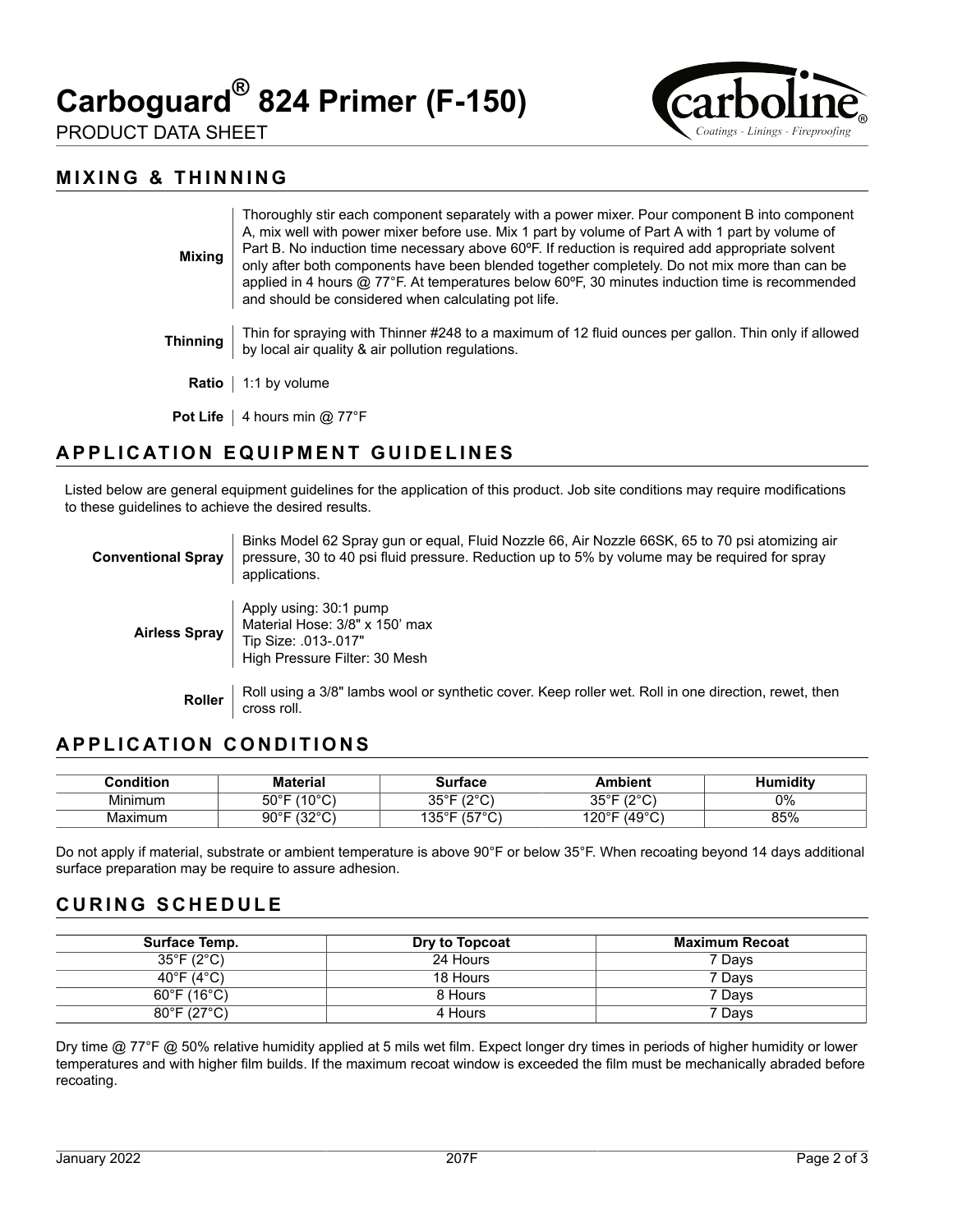# **Carboguard® 824 Primer (F-150)**



PRODUCT DATA SHEET

#### **MIXING & THINNING**

| <b>Mixing</b>   | Thoroughly stir each component separately with a power mixer. Pour component B into component<br>A, mix well with power mixer before use. Mix 1 part by volume of Part A with 1 part by volume of<br>Part B. No induction time necessary above 60°F. If reduction is required add appropriate solvent<br>only after both components have been blended together completely. Do not mix more than can be<br>applied in 4 hours $@$ 77°F. At temperatures below 60°F, 30 minutes induction time is recommended<br>and should be considered when calculating pot life. |
|-----------------|--------------------------------------------------------------------------------------------------------------------------------------------------------------------------------------------------------------------------------------------------------------------------------------------------------------------------------------------------------------------------------------------------------------------------------------------------------------------------------------------------------------------------------------------------------------------|
| Thinning        | Thin for spraying with Thinner #248 to a maximum of 12 fluid ounces per gallon. Thin only if allowed<br>by local air quality & air pollution regulations.                                                                                                                                                                                                                                                                                                                                                                                                          |
| Ratio           | 1:1 by volume                                                                                                                                                                                                                                                                                                                                                                                                                                                                                                                                                      |
| <b>Pot Life</b> | 4 hours min $@$ 77 ${}^{\circ}$ F                                                                                                                                                                                                                                                                                                                                                                                                                                                                                                                                  |

## **APPLICATION EQUIPMENT GUIDELINES**

Listed below are general equipment guidelines for the application of this product. Job site conditions may require modifications to these guidelines to achieve the desired results.

| <b>Conventional Spray</b> | Binks Model 62 Spray gun or egual, Fluid Nozzle 66, Air Nozzle 66SK, 65 to 70 psi atomizing air<br>pressure, 30 to 40 psi fluid pressure. Reduction up to 5% by volume may be required for spray<br>applications. |
|---------------------------|-------------------------------------------------------------------------------------------------------------------------------------------------------------------------------------------------------------------|
| <b>Airless Spray</b>      | Apply using: 30:1 pump<br>Material Hose: 3/8" x 150' max<br>Tip Size: .013-.017"<br>High Pressure Filter: 30 Mesh                                                                                                 |
| <b>Roller</b>             | Roll using a 3/8" lambs wool or synthetic cover. Keep roller wet. Roll in one direction, rewet, then<br>cross roll.                                                                                               |

## **APPLICATION CONDITIONS**

| <b>Condition:</b> | Material                                | urtaco                                    | Ambient                         | iditv<br>11 <sup>th</sup> |
|-------------------|-----------------------------------------|-------------------------------------------|---------------------------------|---------------------------|
| Minimum           | (100)<br>⊼∩ಿ⊏<br>טו<br><u>. ن</u><br>UU | $100^{\circ}$<br>ח∘∍מ<br>ັບ<br>. <u>.</u> | 1000<br><b>OFOF</b><br>ັບປ<br>◡ | 0%                        |
| Maximum           | (0.000)<br>∩∩∘г<br>ອບ<br>ັ<br>. J .     | $1 - 70$<br>ィウに○□<br>◡<br>ັ<br>∣ບບ        | (49°C)<br>120°F                 | 85%                       |

Do not apply if material, substrate or ambient temperature is above 90°F or below 35°F. When recoating beyond 14 days additional surface preparation may be require to assure adhesion.

#### **CURING SCHEDULE**

| Surface Temp.                    | Dry to Topcoat | Maximum Recoat |
|----------------------------------|----------------|----------------|
| $35^{\circ}$ F (2 $^{\circ}$ C)  | 24 Hours       | 7 Days         |
| 40°F (4°C)                       | 18 Hours       | 7 Days         |
| $60^\circ$ F (16 $^\circ$ C)     | 8 Hours        | 7 Davs         |
| $80^{\circ}$ F (27 $^{\circ}$ C) | 4 Hours        | 7 Days         |

Dry time @ 77°F @ 50% relative humidity applied at 5 mils wet film. Expect longer dry times in periods of higher humidity or lower temperatures and with higher film builds. If the maximum recoat window is exceeded the film must be mechanically abraded before recoating.